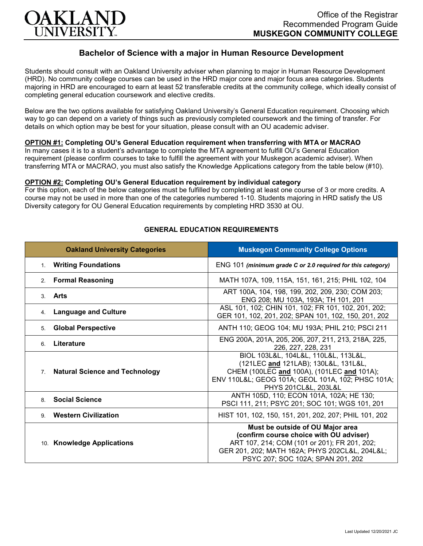

# **Bachelor of Science with a major in Human Resource Development**

Students should consult with an Oakland University adviser when planning to major in Human Resource Development (HRD). No community college courses can be used in the HRD major core and major focus area categories. Students majoring in HRD are encouraged to earn at least 52 transferable credits at the community college, which ideally consist of completing general education coursework and elective credits.

Below are the two options available for satisfying Oakland University's General Education requirement. Choosing which way to go can depend on a variety of things such as previously completed coursework and the timing of transfer. For details on which option may be best for your situation, please consult with an OU academic adviser.

### **OPTION #1: Completing OU's General Education requirement when transferring with MTA or MACRAO**

In many cases it is to a student's advantage to complete the MTA agreement to fulfill OU's General Education requirement (please confirm courses to take to fulfill the agreement with your Muskegon academic adviser). When transferring MTA or MACRAO, you must also satisfy the Knowledge Applications category from the table below (#10).

#### **OPTION #2: Completing OU's General Education requirement by individual category**

For this option, each of the below categories must be fulfilled by completing at least one course of 3 or more credits. A course may not be used in more than one of the categories numbered 1-10. Students majoring in HRD satisfy the US Diversity category for OU General Education requirements by completing HRD 3530 at OU.

| <b>Oakland University Categories</b>                    | <b>Muskegon Community College Options</b>                                                                                                                                                                         |
|---------------------------------------------------------|-------------------------------------------------------------------------------------------------------------------------------------------------------------------------------------------------------------------|
| 1. Writing Foundations                                  | ENG 101 (minimum grade C or 2.0 required for this category)                                                                                                                                                       |
| <b>Formal Reasoning</b><br>2 <sub>1</sub>               | MATH 107A, 109, 115A, 151, 161, 215; PHIL 102, 104                                                                                                                                                                |
| 3. Arts                                                 | ART 100A, 104, 198, 199, 202, 209, 230; COM 203;<br>ENG 208; MU 103A, 193A; TH 101, 201                                                                                                                           |
| <b>Language and Culture</b><br>4.                       | ASL 101, 102; CHIN 101, 102; FR 101, 102, 201, 202;<br>GER 101, 102, 201, 202; SPAN 101, 102, 150, 201, 202                                                                                                       |
| <b>Global Perspective</b><br>5 <sub>1</sub>             | ANTH 110; GEOG 104; MU 193A; PHIL 210; PSCI 211                                                                                                                                                                   |
| Literature<br>6                                         | ENG 200A, 201A, 205, 206, 207, 211, 213, 218A, 225,<br>226, 227, 228, 231                                                                                                                                         |
| <b>Natural Science and Technology</b><br>7 <sub>1</sub> | BIOL 103L&L, 104L&L, 110L&L, 113L&L,<br>(121LEC and 121LAB); 130L&L, 131L&L,<br>CHEM (100LEC and 100A), (101LEC and 101A);<br>ENV 110L&L GEOG 101A; GEOL 101A, 102; PHSC 101A;<br>PHYS 201CL&L, 203L&L            |
| <b>Social Science</b><br>8                              | ANTH 105D, 110; ECON 101A, 102A; HE 130;<br>PSCI 111, 211; PSYC 201; SOC 101; WGS 101, 201                                                                                                                        |
| 9. Western Civilization                                 | HIST 101, 102, 150, 151, 201, 202, 207; PHIL 101, 202                                                                                                                                                             |
| 10. Knowledge Applications                              | Must be outside of OU Major area<br>(confirm course choice with OU adviser)<br>ART 107, 214; COM (101 or 201); FR 201, 202;<br>GER 201, 202; MATH 162A; PHYS 202CL&L, 204L&L<br>PSYC 207; SOC 102A; SPAN 201, 202 |

#### **GENERAL EDUCATION REQUIREMENTS**